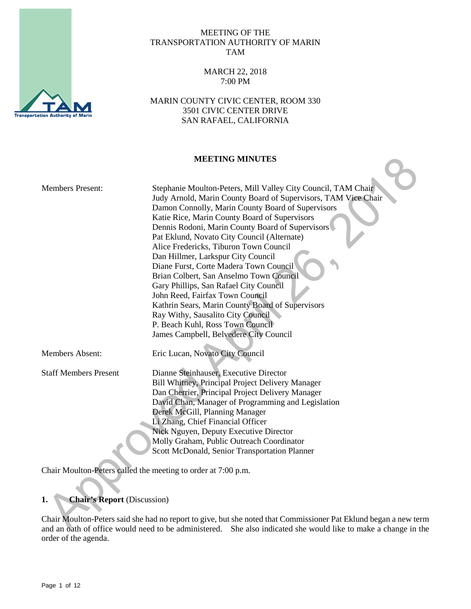

#### MEETING OF THE TRANSPORTATION AUTHORITY OF MARIN TAM

### MARCH 22, 2018 7:00 PM

MARIN COUNTY CIVIC CENTER, ROOM 330 3501 CIVIC CENTER DRIVE SAN RAFAEL, CALIFORNIA

### **MEETING MINUTES**

| <b>Members Present:</b>      | Stephanie Moulton-Peters, Mill Valley City Council, TAM Chair<br>Judy Arnold, Marin County Board of Supervisors, TAM Vice Chair<br>Damon Connolly, Marin County Board of Supervisors<br>Katie Rice, Marin County Board of Supervisors<br>Dennis Rodoni, Marin County Board of Supervisors<br>Pat Eklund, Novato City Council (Alternate)<br>Alice Fredericks, Tiburon Town Council<br>Dan Hillmer, Larkspur City Council<br>Diane Furst, Corte Madera Town Council<br>Brian Colbert, San Anselmo Town Council<br>Gary Phillips, San Rafael City Council<br>John Reed, Fairfax Town Council<br>Kathrin Sears, Marin County Board of Supervisors<br>Ray Withy, Sausalito City Council<br>P. Beach Kuhl, Ross Town Council<br>James Campbell, Belvedere City Council |
|------------------------------|-------------------------------------------------------------------------------------------------------------------------------------------------------------------------------------------------------------------------------------------------------------------------------------------------------------------------------------------------------------------------------------------------------------------------------------------------------------------------------------------------------------------------------------------------------------------------------------------------------------------------------------------------------------------------------------------------------------------------------------------------------------------|
| <b>Members Absent:</b>       | Eric Lucan, Novato City Council                                                                                                                                                                                                                                                                                                                                                                                                                                                                                                                                                                                                                                                                                                                                   |
| <b>Staff Members Present</b> | Dianne Steinhauser, Executive Director<br>Bill Whitney, Principal Project Delivery Manager<br>Dan Cherrier, Principal Project Delivery Manager<br>David Chan, Manager of Programming and Legislation<br>Derek McGill, Planning Manager<br>Li Zhang, Chief Financial Officer<br>Nick Nguyen, Deputy Executive Director<br>Molly Graham, Public Outreach Coordinator<br>Scott McDonald, Senior Transportation Planner                                                                                                                                                                                                                                                                                                                                               |

Chair Moulton-Peters called the meeting to order at 7:00 p.m.

# **1. Chair's Report** (Discussion)

Chair Moulton-Peters said she had no report to give, but she noted that Commissioner Pat Eklund began a new term and an oath of office would need to be administered. She also indicated she would like to make a change in the order of the agenda.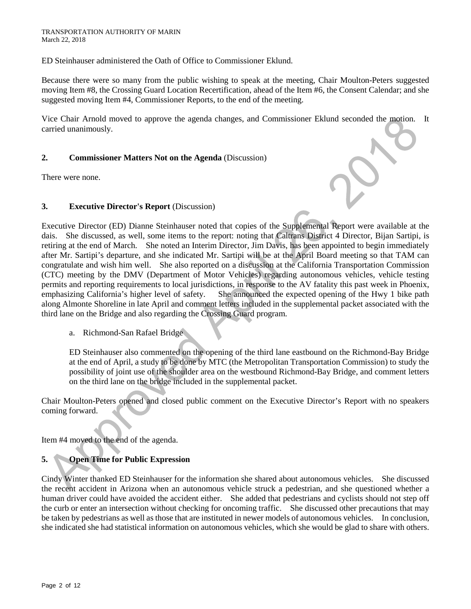ED Steinhauser administered the Oath of Office to Commissioner Eklund.

Because there were so many from the public wishing to speak at the meeting, Chair Moulton-Peters suggested moving Item #8, the Crossing Guard Location Recertification, ahead of the Item #6, the Consent Calendar; and she suggested moving Item #4, Commissioner Reports, to the end of the meeting.

Vice Chair Arnold moved to approve the agenda changes, and Commissioner Eklund seconded the motion. It carried unanimously.

### **2. Commissioner Matters Not on the Agenda** (Discussion)

There were none.

#### **3. Executive Director's Report** (Discussion)

Executive Director (ED) Dianne Steinhauser noted that copies of the Supplemental Report were available at the dais. She discussed, as well, some items to the report: noting that Caltrans District 4 Director, Bijan Sartipi, is retiring at the end of March. She noted an Interim Director, Jim Davis, has been appointed to begin immediately after Mr. Sartipi's departure, and she indicated Mr. Sartipi will be at the April Board meeting so that TAM can congratulate and wish him well. She also reported on a discussion at the California Transportation Commission (CTC) meeting by the DMV (Department of Motor Vehicles) regarding autonomous vehicles, vehicle testing permits and reporting requirements to local jurisdictions, in response to the AV fatality this past week in Phoenix, emphasizing California's higher level of safety. She announced the expected opening of the Hwy 1 bike path along Almonte Shoreline in late April and comment letters included in the supplemental packet associated with the third lane on the Bridge and also regarding the Crossing Guard program.

a. Richmond-San Rafael Bridge

ED Steinhauser also commented on the opening of the third lane eastbound on the Richmond-Bay Bridge at the end of April, a study to be done by MTC (the Metropolitan Transportation Commission) to study the possibility of joint use of the shoulder area on the westbound Richmond-Bay Bridge, and comment letters on the third lane on the bridge included in the supplemental packet.

Chair Moulton-Peters opened and closed public comment on the Executive Director's Report with no speakers coming forward.

Item #4 moved to the end of the agenda.

## **5. Open Time for Public Expression**

Cindy Winter thanked ED Steinhauser for the information she shared about autonomous vehicles. She discussed the recent accident in Arizona when an autonomous vehicle struck a pedestrian, and she questioned whether a human driver could have avoided the accident either. She added that pedestrians and cyclists should not step off the curb or enter an intersection without checking for oncoming traffic. She discussed other precautions that may be taken by pedestrians as well as those that are instituted in newer models of autonomous vehicles. In conclusion, she indicated she had statistical information on autonomous vehicles, which she would be glad to share with others.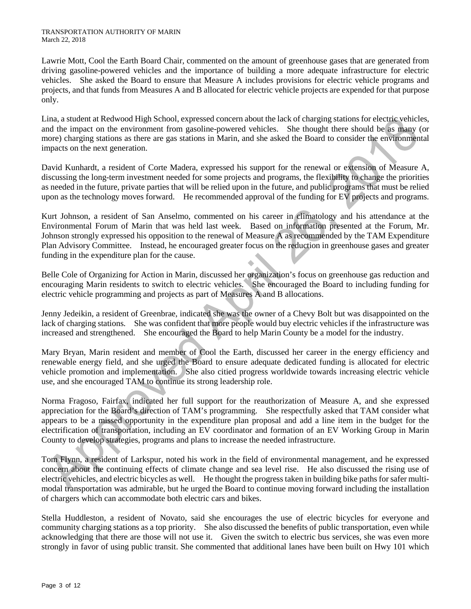Lawrie Mott, Cool the Earth Board Chair, commented on the amount of greenhouse gases that are generated from driving gasoline-powered vehicles and the importance of building a more adequate infrastructure for electric vehicles. She asked the Board to ensure that Measure A includes provisions for electric vehicle programs and projects, and that funds from Measures A and B allocated for electric vehicle projects are expended for that purpose only.

Lina, a student at Redwood High School, expressed concern about the lack of charging stations for electric vehicles, and the impact on the environment from gasoline-powered vehicles. She thought there should be as many (or more) charging stations as there are gas stations in Marin, and she asked the Board to consider the environmental impacts on the next generation.

David Kunhardt, a resident of Corte Madera, expressed his support for the renewal or extension of Measure A, discussing the long-term investment needed for some projects and programs, the flexibility to change the priorities as needed in the future, private parties that will be relied upon in the future, and public programs that must be relied upon as the technology moves forward. He recommended approval of the funding for EV projects and programs.

Kurt Johnson, a resident of San Anselmo, commented on his career in climatology and his attendance at the Environmental Forum of Marin that was held last week. Based on information presented at the Forum, Mr. Johnson strongly expressed his opposition to the renewal of Measure A as recommended by the TAM Expenditure Plan Advisory Committee. Instead, he encouraged greater focus on the reduction in greenhouse gases and greater funding in the expenditure plan for the cause.

Belle Cole of Organizing for Action in Marin, discussed her organization's focus on greenhouse gas reduction and encouraging Marin residents to switch to electric vehicles. She encouraged the Board to including funding for electric vehicle programming and projects as part of Measures A and B allocations.

Jenny Jedeikin, a resident of Greenbrae, indicated she was the owner of a Chevy Bolt but was disappointed on the lack of charging stations. She was confident that more people would buy electric vehicles if the infrastructure was increased and strengthened. She encouraged the Board to help Marin County be a model for the industry.

Mary Bryan, Marin resident and member of Cool the Earth, discussed her career in the energy efficiency and renewable energy field, and she urged the Board to ensure adequate dedicated funding is allocated for electric vehicle promotion and implementation. She also citied progress worldwide towards increasing electric vehicle use, and she encouraged TAM to continue its strong leadership role.

Norma Fragoso, Fairfax, indicated her full support for the reauthorization of Measure A, and she expressed appreciation for the Board's direction of TAM's programming. She respectfully asked that TAM consider what appears to be a missed opportunity in the expenditure plan proposal and add a line item in the budget for the electrification of transportation, including an EV coordinator and formation of an EV Working Group in Marin County to develop strategies, programs and plans to increase the needed infrastructure.

Tom Flynn, a resident of Larkspur, noted his work in the field of environmental management, and he expressed concern about the continuing effects of climate change and sea level rise. He also discussed the rising use of electric vehicles, and electric bicycles as well. He thought the progress taken in building bike paths for safer multimodal transportation was admirable, but he urged the Board to continue moving forward including the installation of chargers which can accommodate both electric cars and bikes.

Stella Huddleston, a resident of Novato, said she encourages the use of electric bicycles for everyone and community charging stations as a top priority. She also discussed the benefits of public transportation, even while acknowledging that there are those will not use it. Given the switch to electric bus services, she was even more strongly in favor of using public transit. She commented that additional lanes have been built on Hwy 101 which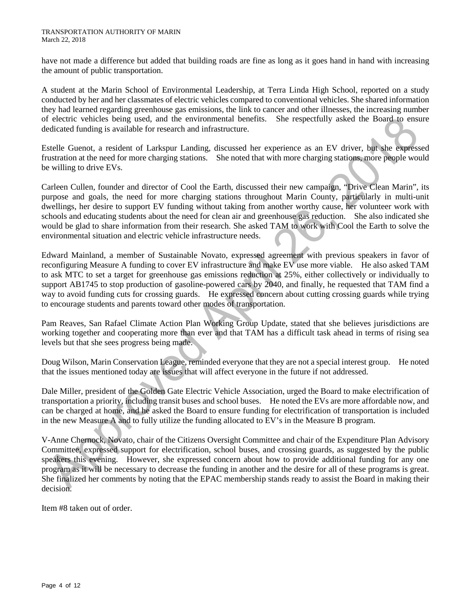have not made a difference but added that building roads are fine as long as it goes hand in hand with increasing the amount of public transportation.

A student at the Marin School of Environmental Leadership, at Terra Linda High School, reported on a study conducted by her and her classmates of electric vehicles compared to conventional vehicles. She shared information they had learned regarding greenhouse gas emissions, the link to cancer and other illnesses, the increasing number of electric vehicles being used, and the environmental benefits. She respectfully asked the Board to ensure dedicated funding is available for research and infrastructure.

Estelle Guenot, a resident of Larkspur Landing, discussed her experience as an EV driver, but she expressed frustration at the need for more charging stations. She noted that with more charging stations, more people would be willing to drive EVs.

Carleen Cullen, founder and director of Cool the Earth, discussed their new campaign, "Drive Clean Marin", its purpose and goals, the need for more charging stations throughout Marin County, particularly in multi-unit dwellings, her desire to support EV funding without taking from another worthy cause, her volunteer work with schools and educating students about the need for clean air and greenhouse gas reduction. She also indicated she would be glad to share information from their research. She asked TAM to work with Cool the Earth to solve the environmental situation and electric vehicle infrastructure needs.

Edward Mainland, a member of Sustainable Novato, expressed agreement with previous speakers in favor of reconfiguring Measure A funding to cover EV infrastructure and make EV use more viable. He also asked TAM to ask MTC to set a target for greenhouse gas emissions reduction at 25%, either collectively or individually to support AB1745 to stop production of gasoline-powered cars by 2040, and finally, he requested that TAM find a way to avoid funding cuts for crossing guards. He expressed concern about cutting crossing guards while trying to encourage students and parents toward other modes of transportation.

Pam Reaves, San Rafael Climate Action Plan Working Group Update, stated that she believes jurisdictions are working together and cooperating more than ever and that TAM has a difficult task ahead in terms of rising sea levels but that she sees progress being made.

Doug Wilson, Marin Conservation League, reminded everyone that they are not a special interest group. He noted that the issues mentioned today are issues that will affect everyone in the future if not addressed.

Dale Miller, president of the Golden Gate Electric Vehicle Association, urged the Board to make electrification of transportation a priority, including transit buses and school buses. He noted the EVs are more affordable now, and can be charged at home, and he asked the Board to ensure funding for electrification of transportation is included in the new Measure A and to fully utilize the funding allocated to EV's in the Measure B program.

V-Anne Chernock, Novato, chair of the Citizens Oversight Committee and chair of the Expenditure Plan Advisory Committee, expressed support for electrification, school buses, and crossing guards, as suggested by the public speakers this evening. However, she expressed concern about how to provide additional funding for any one program as it will be necessary to decrease the funding in another and the desire for all of these programs is great. She finalized her comments by noting that the EPAC membership stands ready to assist the Board in making their decision.

Item #8 taken out of order.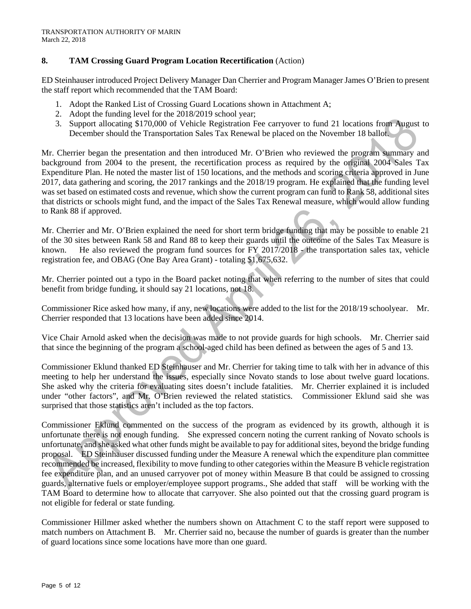### **8. TAM Crossing Guard Program Location Recertification** (Action)

ED Steinhauser introduced Project Delivery Manager Dan Cherrier and Program Manager James O'Brien to present the staff report which recommended that the TAM Board:

- 1. Adopt the Ranked List of Crossing Guard Locations shown in Attachment A;
- 2. Adopt the funding level for the 2018/2019 school year;
- 3. Support allocating \$170,000 of Vehicle Registration Fee carryover to fund 21 locations from August to December should the Transportation Sales Tax Renewal be placed on the November 18 ballot.

Mr. Cherrier began the presentation and then introduced Mr. O'Brien who reviewed the program summary and background from 2004 to the present, the recertification process as required by the original 2004 Sales Tax Expenditure Plan. He noted the master list of 150 locations, and the methods and scoring criteria approved in June 2017, data gathering and scoring, the 2017 rankings and the 2018/19 program. He explained that the funding level was set based on estimated costs and revenue, which show the current program can fund to Rank 58, additional sites that districts or schools might fund, and the impact of the Sales Tax Renewal measure, which would allow funding to Rank 88 if approved.

Mr. Cherrier and Mr. O'Brien explained the need for short term bridge funding that may be possible to enable 21 of the 30 sites between Rank 58 and Rand 88 to keep their guards until the outcome of the Sales Tax Measure is known. He also reviewed the program fund sources for FY 2017/2018 - the transportation sales tax, vehicle registration fee, and OBAG (One Bay Area Grant) - totaling \$1,675,632.

Mr. Cherrier pointed out a typo in the Board packet noting that when referring to the number of sites that could benefit from bridge funding, it should say 21 locations, not 18.

Commissioner Rice asked how many, if any, new locations were added to the list for the 2018/19 schoolyear. Mr. Cherrier responded that 13 locations have been added since 2014.

Vice Chair Arnold asked when the decision was made to not provide guards for high schools. Mr. Cherrier said that since the beginning of the program a school-aged child has been defined as between the ages of 5 and 13.

Commissioner Eklund thanked ED Steinhauser and Mr. Cherrier for taking time to talk with her in advance of this meeting to help her understand the issues, especially since Novato stands to lose about twelve guard locations. She asked why the criteria for evaluating sites doesn't include fatalities. Mr. Cherrier explained it is included under "other factors", and Mr. O'Brien reviewed the related statistics. Commissioner Eklund said she was surprised that those statistics aren't included as the top factors.

Commissioner Eklund commented on the success of the program as evidenced by its growth, although it is unfortunate there is not enough funding. She expressed concern noting the current ranking of Novato schools is unfortunate, and she asked what other funds might be available to pay for additional sites, beyond the bridge funding proposal. ED Steinhauser discussed funding under the Measure A renewal which the expenditure plan committee recommended be increased, flexibility to move funding to other categories within the Measure B vehicle registration fee expenditure plan, and an unused carryover pot of money within Measure B that could be assigned to crossing guards, alternative fuels or employer/employee support programs., She added that staff will be working with the TAM Board to determine how to allocate that carryover. She also pointed out that the crossing guard program is not eligible for federal or state funding.

Commissioner Hillmer asked whether the numbers shown on Attachment C to the staff report were supposed to match numbers on Attachment B. Mr. Cherrier said no, because the number of guards is greater than the number of guard locations since some locations have more than one guard.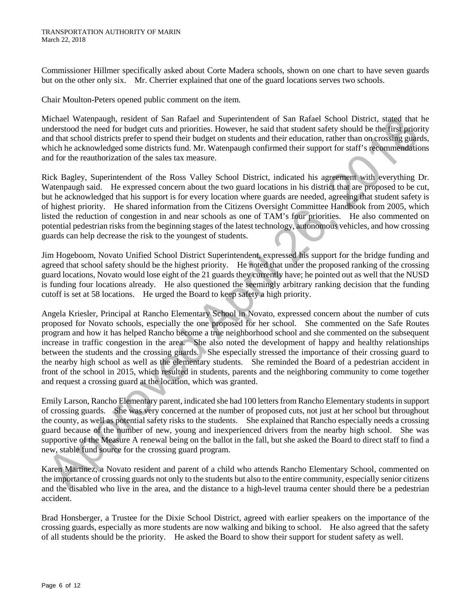Commissioner Hillmer specifically asked about Corte Madera schools, shown on one chart to have seven guards but on the other only six. Mr. Cherrier explained that one of the guard locations serves two schools.

Chair Moulton-Peters opened public comment on the item.

Michael Watenpaugh, resident of San Rafael and Superintendent of San Rafael School District, stated that he understood the need for budget cuts and priorities. However, he said that student safety should be the first priority and that school districts prefer to spend their budget on students and their education, rather than on crossing guards, which he acknowledged some districts fund. Mr. Watenpaugh confirmed their support for staff's recommendations and for the reauthorization of the sales tax measure.

Rick Bagley, Superintendent of the Ross Valley School District, indicated his agreement with everything Dr. Watenpaugh said. He expressed concern about the two guard locations in his district that are proposed to be cut, but he acknowledged that his support is for every location where guards are needed, agreeing that student safety is of highest priority. He shared information from the Citizens Oversight Committee Handbook from 2005, which listed the reduction of congestion in and near schools as one of TAM's four priorities. He also commented on potential pedestrian risks from the beginning stages of the latest technology, autonomous vehicles, and how crossing guards can help decrease the risk to the youngest of students.

Jim Hogeboom, Novato Unified School District Superintendent, expressed his support for the bridge funding and agreed that school safety should be the highest priority. He noted that under the proposed ranking of the crossing guard locations, Novato would lose eight of the 21 guards they currently have; he pointed out as well that the NUSD is funding four locations already. He also questioned the seemingly arbitrary ranking decision that the funding cutoff is set at 58 locations. He urged the Board to keep safety a high priority.

Angela Kriesler, Principal at Rancho Elementary School in Novato, expressed concern about the number of cuts proposed for Novato schools, especially the one proposed for her school. She commented on the Safe Routes program and how it has helped Rancho become a true neighborhood school and she commented on the subsequent increase in traffic congestion in the area. She also noted the development of happy and healthy relationships between the students and the crossing guards. She especially stressed the importance of their crossing guard to the nearby high school as well as the elementary students. She reminded the Board of a pedestrian accident in front of the school in 2015, which resulted in students, parents and the neighboring community to come together and request a crossing guard at the location, which was granted.

Emily Larson, Rancho Elementary parent, indicated she had 100 letters from Rancho Elementary students in support of crossing guards. She was very concerned at the number of proposed cuts, not just at her school but throughout the county, as well as potential safety risks to the students. She explained that Rancho especially needs a crossing guard because of the number of new, young and inexperienced drivers from the nearby high school. She was supportive of the Measure A renewal being on the ballot in the fall, but she asked the Board to direct staff to find a new, stable fund source for the crossing guard program.

Karen Martinez, a Novato resident and parent of a child who attends Rancho Elementary School, commented on the importance of crossing guards not only to the students but also to the entire community, especially senior citizens and the disabled who live in the area, and the distance to a high-level trauma center should there be a pedestrian accident.

Brad Honsberger, a Trustee for the Dixie School District, agreed with earlier speakers on the importance of the crossing guards, especially as more students are now walking and biking to school. He also agreed that the safety of all students should be the priority. He asked the Board to show their support for student safety as well.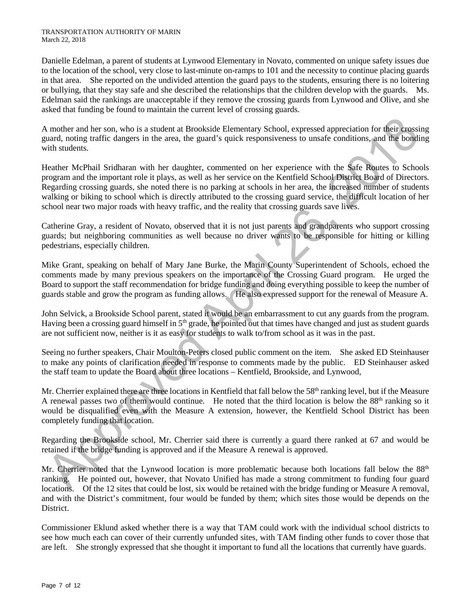Danielle Edelman, a parent of students at Lynwood Elementary in Novato, commented on unique safety issues due to the location of the school, very close to last-minute on-ramps to 101 and the necessity to continue placing guards in that area. She reported on the undivided attention the guard pays to the students, ensuring there is no loitering or bullying, that they stay safe and she described the relationships that the children develop with the guards. Ms. Edelman said the rankings are unacceptable if they remove the crossing guards from Lynwood and Olive, and she asked that funding be found to maintain the current level of crossing guards.

A mother and her son, who is a student at Brookside Elementary School, expressed appreciation for their crossing guard, noting traffic dangers in the area, the guard's quick responsiveness to unsafe conditions, and the bonding with students.

Heather McPhail Sridharan with her daughter, commented on her experience with the Safe Routes to Schools program and the important role it plays, as well as her service on the Kentfield School District Board of Directors. Regarding crossing guards, she noted there is no parking at schools in her area, the increased number of students walking or biking to school which is directly attributed to the crossing guard service, the difficult location of her school near two major roads with heavy traffic, and the reality that crossing guards save lives.

Catherine Gray, a resident of Novato, observed that it is not just parents and grandparents who support crossing guards; but neighboring communities as well because no driver wants to be responsible for hitting or killing pedestrians, especially children.

Mike Grant, speaking on behalf of Mary Jane Burke, the Marin County Superintendent of Schools, echoed the comments made by many previous speakers on the importance of the Crossing Guard program. He urged the Board to support the staff recommendation for bridge funding and doing everything possible to keep the number of guards stable and grow the program as funding allows. He also expressed support for the renewal of Measure A.

John Selvick, a Brookside School parent, stated it would be an embarrassment to cut any guards from the program. Having been a crossing guard himself in  $5<sup>th</sup>$  grade, he pointed out that times have changed and just as student guards are not sufficient now, neither is it as easy for students to walk to/from school as it was in the past.

Seeing no further speakers, Chair Moulton-Peters closed public comment on the item. She asked ED Steinhauser to make any points of clarification needed in response to comments made by the public. ED Steinhauser asked the staff team to update the Board about three locations – Kentfield, Brookside, and Lynwood,

Mr. Cherrier explained there are three locations in Kentfield that fall below the  $58<sup>th</sup>$  ranking level, but if the Measure A renewal passes two of them would continue. He noted that the third location is below the 88<sup>th</sup> ranking so it would be disqualified even with the Measure A extension, however, the Kentfield School District has been completely funding that location.

Regarding the Brookside school, Mr. Cherrier said there is currently a guard there ranked at 67 and would be retained if the bridge funding is approved and if the Measure A renewal is approved.

Mr. Cherrier noted that the Lynwood location is more problematic because both locations fall below the 88<sup>th</sup> ranking. He pointed out, however, that Novato Unified has made a strong commitment to funding four guard locations. Of the 12 sites that could be lost, six would be retained with the bridge funding or Measure A removal, and with the District's commitment, four would be funded by them; which sites those would be depends on the District.

Commissioner Eklund asked whether there is a way that TAM could work with the individual school districts to see how much each can cover of their currently unfunded sites, with TAM finding other funds to cover those that are left. She strongly expressed that she thought it important to fund all the locations that currently have guards.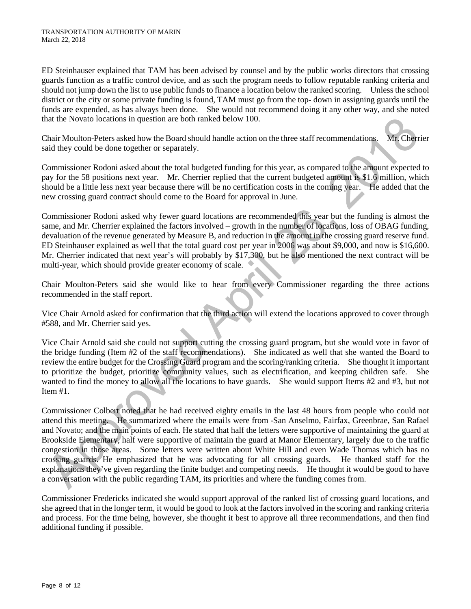ED Steinhauser explained that TAM has been advised by counsel and by the public works directors that crossing guards function as a traffic control device, and as such the program needs to follow reputable ranking criteria and should not jump down the list to use public funds to finance a location below the ranked scoring. Unless the school district or the city or some private funding is found, TAM must go from the top- down in assigning guards until the funds are expended, as has always been done. She would not recommend doing it any other way, and she noted that the Novato locations in question are both ranked below 100.

Chair Moulton-Peters asked how the Board should handle action on the three staff recommendations. Mr. Cherrier said they could be done together or separately.

Commissioner Rodoni asked about the total budgeted funding for this year, as compared to the amount expected to pay for the 58 positions next year. Mr. Cherrier replied that the current budgeted amount is \$1.6 million, which should be a little less next year because there will be no certification costs in the coming year. He added that the new crossing guard contract should come to the Board for approval in June.

Commissioner Rodoni asked why fewer guard locations are recommended this year but the funding is almost the same, and Mr. Cherrier explained the factors involved – growth in the number of locations, loss of OBAG funding, devaluation of the revenue generated by Measure B, and reduction in the amount in the crossing guard reserve fund. ED Steinhauser explained as well that the total guard cost per year in 2006 was about \$9,000, and now is \$16,600. Mr. Cherrier indicated that next year's will probably by \$17,300, but he also mentioned the next contract will be multi-year, which should provide greater economy of scale.

Chair Moulton-Peters said she would like to hear from every Commissioner regarding the three actions recommended in the staff report.

Vice Chair Arnold asked for confirmation that the third action will extend the locations approved to cover through #588, and Mr. Cherrier said yes.

Vice Chair Arnold said she could not support cutting the crossing guard program, but she would vote in favor of the bridge funding (Item #2 of the staff recommendations). She indicated as well that she wanted the Board to review the entire budget for the Crossing Guard program and the scoring/ranking criteria. She thought it important to prioritize the budget, prioritize community values, such as electrification, and keeping children safe. She wanted to find the money to allow all the locations to have guards. She would support Items #2 and #3, but not Item #1.

Commissioner Colbert noted that he had received eighty emails in the last 48 hours from people who could not attend this meeting. He summarized where the emails were from -San Anselmo, Fairfax, Greenbrae, San Rafael and Novato; and the main points of each. He stated that half the letters were supportive of maintaining the guard at Brookside Elementary, half were supportive of maintain the guard at Manor Elementary, largely due to the traffic congestion in those areas. Some letters were written about White Hill and even Wade Thomas which has no crossing guards. He emphasized that he was advocating for all crossing guards. He thanked staff for the explanations they've given regarding the finite budget and competing needs. He thought it would be good to have a conversation with the public regarding TAM, its priorities and where the funding comes from.

Commissioner Fredericks indicated she would support approval of the ranked list of crossing guard locations, and she agreed that in the longer term, it would be good to look at the factors involved in the scoring and ranking criteria and process. For the time being, however, she thought it best to approve all three recommendations, and then find additional funding if possible.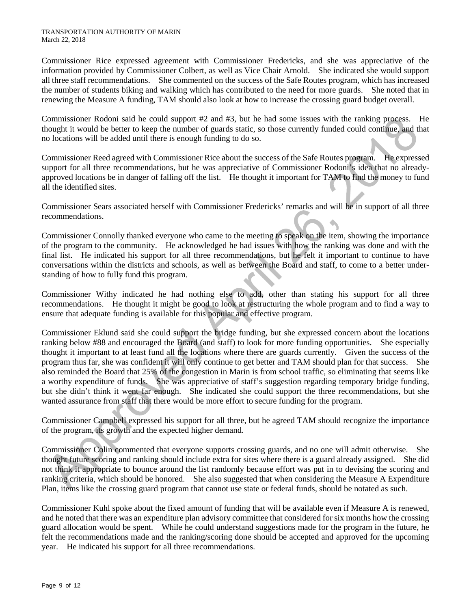Commissioner Rice expressed agreement with Commissioner Fredericks, and she was appreciative of the information provided by Commissioner Colbert, as well as Vice Chair Arnold. She indicated she would support all three staff recommendations. She commented on the success of the Safe Routes program, which has increased the number of students biking and walking which has contributed to the need for more guards. She noted that in renewing the Measure A funding, TAM should also look at how to increase the crossing guard budget overall.

Commissioner Rodoni said he could support #2 and #3, but he had some issues with the ranking process. He thought it would be better to keep the number of guards static, so those currently funded could continue, and that no locations will be added until there is enough funding to do so.

Commissioner Reed agreed with Commissioner Rice about the success of the Safe Routes program. He expressed support for all three recommendations, but he was appreciative of Commissioner Rodoni's idea that no alreadyapproved locations be in danger of falling off the list. He thought it important for TAM to find the money to fund all the identified sites.

Commissioner Sears associated herself with Commissioner Fredericks' remarks and will be in support of all three recommendations.

Commissioner Connolly thanked everyone who came to the meeting to speak on the item, showing the importance of the program to the community. He acknowledged he had issues with how the ranking was done and with the final list. He indicated his support for all three recommendations, but he felt it important to continue to have conversations within the districts and schools, as well as between the Board and staff, to come to a better understanding of how to fully fund this program.

Commissioner Withy indicated he had nothing else to add, other than stating his support for all three recommendations. He thought it might be good to look at restructuring the whole program and to find a way to ensure that adequate funding is available for this popular and effective program.

Commissioner Eklund said she could support the bridge funding, but she expressed concern about the locations ranking below #88 and encouraged the Board (and staff) to look for more funding opportunities. She especially thought it important to at least fund all the locations where there are guards currently. Given the success of the program thus far, she was confident it will only continue to get better and TAM should plan for that success. She also reminded the Board that 25% of the congestion in Marin is from school traffic, so eliminating that seems like a worthy expenditure of funds. She was appreciative of staff's suggestion regarding temporary bridge funding, but she didn't think it went far enough. She indicated she could support the three recommendations, but she wanted assurance from staff that there would be more effort to secure funding for the program.

Commissioner Campbell expressed his support for all three, but he agreed TAM should recognize the importance of the program, its growth and the expected higher demand.

Commissioner Colin commented that everyone supports crossing guards, and no one will admit otherwise. She thought future scoring and ranking should include extra for sites where there is a guard already assigned. She did not think it appropriate to bounce around the list randomly because effort was put in to devising the scoring and ranking criteria, which should be honored. She also suggested that when considering the Measure A Expenditure Plan, items like the crossing guard program that cannot use state or federal funds, should be notated as such.

Commissioner Kuhl spoke about the fixed amount of funding that will be available even if Measure A is renewed, and he noted that there was an expenditure plan advisory committee that considered for six months how the crossing guard allocation would be spent. While he could understand suggestions made for the program in the future, he felt the recommendations made and the ranking/scoring done should be accepted and approved for the upcoming year. He indicated his support for all three recommendations.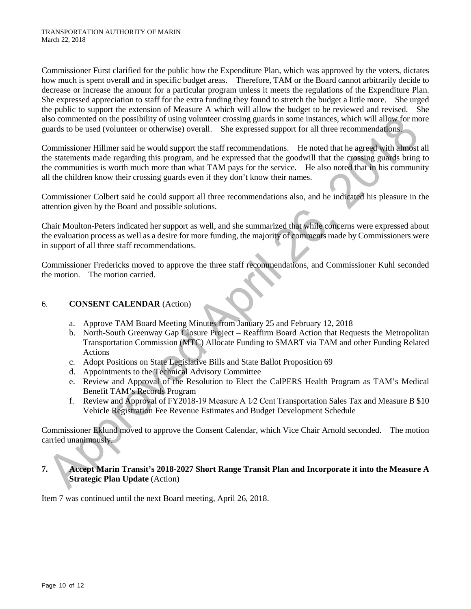Commissioner Furst clarified for the public how the Expenditure Plan, which was approved by the voters, dictates how much is spent overall and in specific budget areas. Therefore, TAM or the Board cannot arbitrarily decide to decrease or increase the amount for a particular program unless it meets the regulations of the Expenditure Plan. She expressed appreciation to staff for the extra funding they found to stretch the budget a little more. She urged the public to support the extension of Measure A which will allow the budget to be reviewed and revised. She also commented on the possibility of using volunteer crossing guards in some instances, which will allow for more guards to be used (volunteer or otherwise) overall. She expressed support for all three recommendations.

Commissioner Hillmer said he would support the staff recommendations. He noted that he agreed with almost all the statements made regarding this program, and he expressed that the goodwill that the crossing guards bring to the communities is worth much more than what TAM pays for the service. He also noted that in his community all the children know their crossing guards even if they don't know their names.

Commissioner Colbert said he could support all three recommendations also, and he indicated his pleasure in the attention given by the Board and possible solutions.

Chair Moulton-Peters indicated her support as well, and she summarized that while concerns were expressed about the evaluation process as well as a desire for more funding, the majority of comments made by Commissioners were in support of all three staff recommendations.

Commissioner Fredericks moved to approve the three staff recommendations, and Commissioner Kuhl seconded the motion. The motion carried.

### 6. **CONSENT CALENDAR** (Action)

- a. Approve TAM Board Meeting Minutes from January 25 and February 12, 2018
- b. North-South Greenway Gap Closure Project Reaffirm Board Action that Requests the Metropolitan Transportation Commission (MTC) Allocate Funding to SMART via TAM and other Funding Related Actions
- c. Adopt Positions on State Legislative Bills and State Ballot Proposition 69
- d. Appointments to the Technical Advisory Committee
- e. Review and Approval of the Resolution to Elect the CalPERS Health Program as TAM's Medical Benefit TAM's Records Program
- f. Review and Approval of FY2018-19 Measure A 1⁄2 Cent Transportation Sales Tax and Measure B \$10 Vehicle Registration Fee Revenue Estimates and Budget Development Schedule

Commissioner Eklund moved to approve the Consent Calendar, which Vice Chair Arnold seconded. The motion carried unanimously.

**7. Accept Marin Transit's 2018-2027 Short Range Transit Plan and Incorporate it into the Measure A Strategic Plan Update** (Action)

Item 7 was continued until the next Board meeting, April 26, 2018.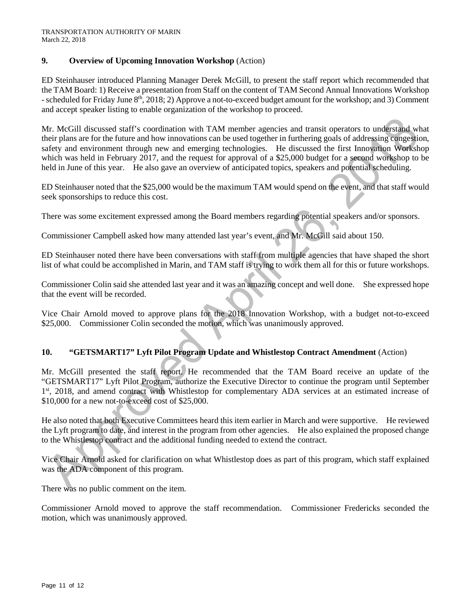### **9. Overview of Upcoming Innovation Workshop** (Action)

ED Steinhauser introduced Planning Manager Derek McGill, to present the staff report which recommended that the TAM Board: 1) Receive a presentation from Staff on the content of TAM Second Annual Innovations Workshop - scheduled for Friday June 8<sup>th</sup>, 2018; 2) Approve a not-to-exceed budget amount for the workshop; and 3) Comment and accept speaker listing to enable organization of the workshop to proceed.

Mr. McGill discussed staff's coordination with TAM member agencies and transit operators to understand what their plans are for the future and how innovations can be used together in furthering goals of addressing congestion, safety and environment through new and emerging technologies. He discussed the first Innovation Workshop which was held in February 2017, and the request for approval of a \$25,000 budget for a second workshop to be held in June of this year. He also gave an overview of anticipated topics, speakers and potential scheduling.

ED Steinhauser noted that the \$25,000 would be the maximum TAM would spend on the event, and that staff would seek sponsorships to reduce this cost.

There was some excitement expressed among the Board members regarding potential speakers and/or sponsors.

Commissioner Campbell asked how many attended last year's event, and Mr. McGill said about 150.

ED Steinhauser noted there have been conversations with staff from multiple agencies that have shaped the short list of what could be accomplished in Marin, and TAM staff is trying to work them all for this or future workshops.

Commissioner Colin said she attended last year and it was an amazing concept and well done. She expressed hope that the event will be recorded.

Vice Chair Arnold moved to approve plans for the 2018 Innovation Workshop, with a budget not-to-exceed \$25,000. Commissioner Colin seconded the motion, which was unanimously approved.

## **10. "GETSMART17" Lyft Pilot Program Update and Whistlestop Contract Amendment** (Action)

Mr. McGill presented the staff report. He recommended that the TAM Board receive an update of the "GETSMART17" Lyft Pilot Program, authorize the Executive Director to continue the program until September 1<sup>st</sup>, 2018, and amend contract with Whistlestop for complementary ADA services at an estimated increase of \$10,000 for a new not-to-exceed cost of \$25,000.

He also noted that both Executive Committees heard this item earlier in March and were supportive. He reviewed the Lyft program to date, and interest in the program from other agencies. He also explained the proposed change to the Whistlestop contract and the additional funding needed to extend the contract.

Vice Chair Arnold asked for clarification on what Whistlestop does as part of this program, which staff explained was the ADA component of this program.

There was no public comment on the item.

Commissioner Arnold moved to approve the staff recommendation. Commissioner Fredericks seconded the motion, which was unanimously approved.